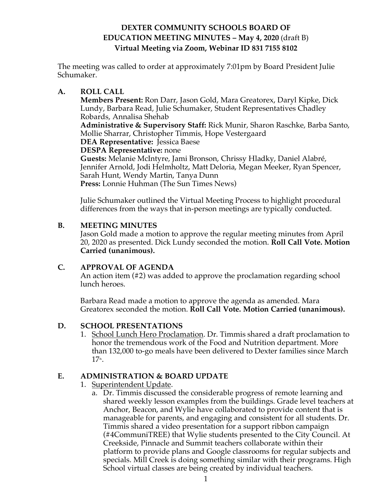# **DEXTER COMMUNITY SCHOOLS BOARD OF EDUCATION MEETING MINUTES – May 4, 2020** (draft B) **Virtual Meeting via Zoom, Webinar ID 831 7155 8102**

The meeting was called to order at approximately 7:01pm by Board President Julie Schumaker.

### **A. ROLL CALL**

**Members Present:** Ron Darr, Jason Gold, Mara Greatorex, Daryl Kipke, Dick Lundy, Barbara Read, Julie Schumaker, Student Representatives Chadley Robards, Annalisa Shehab

**Administrative & Supervisory Staff:** Rick Munir, Sharon Raschke, Barba Santo, Mollie Sharrar, Christopher Timmis, Hope Vestergaard

**DEA Representative:** Jessica Baese

**DESPA Representative:** none

**Guests:** Melanie McIntyre, Jami Bronson, Chrissy Hladky, Daniel Alabré, Jennifer Arnold, Jodi Helmholtz, Matt Deloria, Megan Meeker, Ryan Spencer, Sarah Hunt, Wendy Martin, Tanya Dunn **Press:** Lonnie Huhman (The Sun Times News)

Julie Schumaker outlined the Virtual Meeting Process to highlight procedural differences from the ways that in-person meetings are typically conducted.

### **B. MEETING MINUTES**

Jason Gold made a motion to approve the regular meeting minutes from April 20, 2020 as presented. Dick Lundy seconded the motion. **Roll Call Vote. Motion Carried (unanimous).**

#### **C. APPROVAL OF AGENDA**

An action item (#2) was added to approve the proclamation regarding school lunch heroes.

Barbara Read made a motion to approve the agenda as amended. Mara Greatorex seconded the motion. **Roll Call Vote. Motion Carried (unanimous).**

## **D. SCHOOL PRESENTATIONS**

1. School Lunch Hero Proclamation. Dr. Timmis shared a draft proclamation to honor the tremendous work of the Food and Nutrition department. More than 132,000 to-go meals have been delivered to Dexter families since March  $17<sup>th</sup>$ .

## **E. ADMINISTRATION & BOARD UPDATE**

- 1. Superintendent Update.
	- a. Dr. Timmis discussed the considerable progress of remote learning and shared weekly lesson examples from the buildings. Grade level teachers at Anchor, Beacon, and Wylie have collaborated to provide content that is manageable for parents, and engaging and consistent for all students. Dr. Timmis shared a video presentation for a support ribbon campaign (#4CommuniTREE) that Wylie students presented to the City Council. At Creekside, Pinnacle and Summit teachers collaborate within their platform to provide plans and Google classrooms for regular subjects and specials. Mill Creek is doing something similar with their programs. High School virtual classes are being created by individual teachers.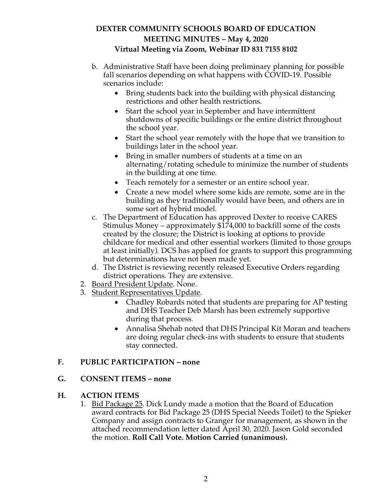# **DEXTER COMMUNITY SCHOOLS BOARD OF EDUCATION MEETING MINUTES – May 4, 2020 Virtual Meeting via Zoom, Webinar ID 831 7155 8102**

- b. Administrative Staff have been doing preliminary planning for possible fall scenarios depending on what happens with COVID-19. Possible scenarios include:
	- Bring students back into the building with physical distancing restrictions and other health restrictions.
	- Start the school year in September and have intermittent shutdowns of specific buildings or the entire district throughout the school year.
	- Start the school year remotely with the hope that we transition to buildings later in the school year.
	- Bring in smaller numbers of students at a time on an alternating/rotating schedule to minimize the number of students in the building at one time.
	- Teach remotely for a semester or an entire school year.
	- Create a new model where some kids are remote, some are in the building as they traditionally would have been, and others are in some sort of hybrid model.
- c. The Department of Education has approved Dexter to receive CARES Stimulus Money – approximately \$174,000 to backfill some of the costs created by the closure; the District is looking at options to provide childcare for medical and other essential workers (limited to those groups at least initially). DCS has applied for grants to support this programming but determinations have not been made yet.
- d. The District is reviewing recently released Executive Orders regarding district operations. They are extensive.
- 2. Board President Update. None.
- 3. Student Representatives Update.
	- Chadley Robards noted that students are preparing for AP testing and DHS Teacher Deb Marsh has been extremely supportive during that process.
	- Annalisa Shehab noted that DHS Principal Kit Moran and teachers are doing regular check-ins with students to ensure that students stay connected.

## **F. PUBLIC PARTICIPATION – none**

#### **G. CONSENT ITEMS – none**

#### **H. ACTION ITEMS**

1. Bid Package 25. Dick Lundy made a motion that the Board of Education award contracts for Bid Package 25 (DHS Special Needs Toilet) to the Spieker Company and assign contracts to Granger for management, as shown in the attached recommendation letter dated April 30, 2020. Jason Gold seconded the motion. **Roll Call Vote. Motion Carried (unanimous).**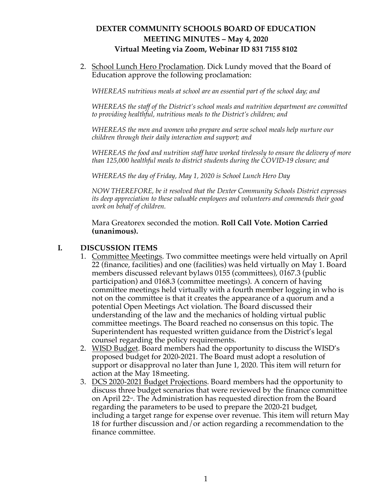# **DEXTER COMMUNITY SCHOOLS BOARD OF EDUCATION MEETING MINUTES – May 4, 2020 Virtual Meeting via Zoom, Webinar ID 831 7155 8102**

2. School Lunch Hero Proclamation. Dick Lundy moved that the Board of Education approve the following proclamation:

*WHEREAS nutritious meals at school are an essential part of the school day; and*

*WHEREAS the staff of the District's school meals and nutrition department are committed to providing healthful, nutritious meals to the District's children; and*

*WHEREAS the men and women who prepare and serve school meals help nurture our children through their daily interaction and support; and*

*WHEREAS the food and nutrition staff have worked tirelessly to ensure the delivery of more than 125,000 healthful meals to district students during the COVID-19 closure; and*

*WHEREAS the day of Friday, May 1, 2020 is School Lunch Hero Day*

*NOW THEREFORE, be it resolved that the Dexter Community Schools District expresses its deep appreciation to these valuable employees and volunteers and commends their good work on behalf of children.*

Mara Greatorex seconded the motion. **Roll Call Vote. Motion Carried (unanimous).** 

### **I. DISCUSSION ITEMS**

- 1. Committee Meetings. Two committee meetings were held virtually on April 22 (finance, facilities) and one (facilities) was held virtually on May 1. Board members discussed relevant bylaws 0155 (committees), 0167.3 (public participation) and 0168.3 (committee meetings). A concern of having committee meetings held virtually with a fourth member logging in who is not on the committee is that it creates the appearance of a quorum and a potential Open Meetings Act violation. The Board discussed their understanding of the law and the mechanics of holding virtual public committee meetings. The Board reached no consensus on this topic. The Superintendent has requested written guidance from the District's legal counsel regarding the policy requirements.
- 2. WISD Budget. Board members had the opportunity to discuss the WISD's proposed budget for 2020-2021. The Board must adopt a resolution of support or disapproval no later than June 1, 2020. This item will return for action at the May 18meeting.
- 3. DCS 2020-2021 Budget Projections. Board members had the opportunity to discuss three budget scenarios that were reviewed by the finance committee on April 22<sup> $\mathbf{d}$ </sup>. The Administration has requested direction from the Board regarding the parameters to be used to prepare the 2020-21 budget, including a target range for expense over revenue. This item will return May 18 for further discussion and/or action regarding a recommendation to the finance committee.